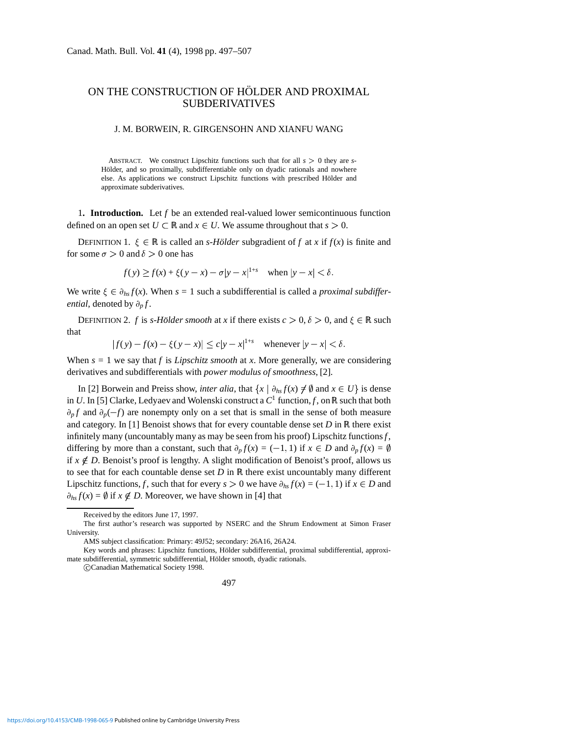## ON THE CONSTRUCTION OF HÖLDER AND PROXIMAL SUBDERIVATIVES

## J. M. BORWEIN, R. GIRGENSOHN AND XIANFU WANG

ABSTRACT. We construct Lipschitz functions such that for all  $s > 0$  they are *s*-Hölder, and so proximally, subdifferentiable only on dyadic rationals and nowhere else. As applications we construct Lipschitz functions with prescribed Hölder and approximate subderivatives.

1**. Introduction.** Let *f* be an extended real-valued lower semicontinuous function defined on an open set  $U \subset \mathbb{R}$  and  $x \in U$ . We assume throughout that  $s > 0$ .

DEFINITION 1.  $\xi \in \mathbb{R}$  is called an *s-Hölder* subgradient of *f* at *x* if  $f(x)$  is finite and for some  $\sigma > 0$  and  $\delta > 0$  one has

$$
f(y) \ge f(x) + \xi(y - x) - \sigma |y - x|^{1+s}
$$
 when  $|y - x| < \delta$ .

We write  $\xi \in \partial_{hs} f(x)$ . When  $s = 1$  such a subdifferential is called a *proximal subdifferential*, denoted by  $\partial_p f$ .

DEFINITION 2. *f* is *s*-Hölder *smooth* at *x* if there exists  $c > 0$ ,  $\delta > 0$ , and  $\xi \in \mathbb{R}$  such that

 $|f(y) - f(x) - \xi(y - x)| \le c|y - x|^{1+s}$  whenever  $|y - x| < \delta$ .

When  $s = 1$  we say that *f* is *Lipschitz smooth* at *x*. More generally, we are considering derivatives and subdifferentials with *power modulus of smoothness*, [2].

In [2] Borwein and Preiss show, *inter alia*, that  $\{x \mid \partial_{hx} f(x) \neq \emptyset \text{ and } x \in U\}$  is dense in *U*. In [5] Clarke, Ledyaev and Wolenski construct a  $C^1$  function, *f*, on R such that both  $\partial_p f$  and  $\partial_p(-f)$  are nonempty only on a set that is small in the sense of both measure and category. In [1] Benoist shows that for every countable dense set *D* in  $\mathbb R$  there exist infinitely many (uncountably many as may be seen from his proof) Lipschitz functions*f*, differing by more than a constant, such that  $\partial_p f(x) = (-1, 1)$  if  $x \in D$  and  $\partial_p f(x) = \emptyset$ if  $x \notin D$ . Benoist's proof is lengthy. A slight modification of Benoist's proof, allows us to see that for each countable dense set  $D$  in  $\mathbb R$  there exist uncountably many different Lipschitz functions, *f*, such that for every  $s > 0$  we have  $\partial_{hs} f(x) = (-1, 1)$  if  $x \in D$  and  $\partial_{hs} f(x) = \emptyset$  if  $x \notin D$ . Moreover, we have shown in [4] that

CCanadian Mathematical Society 1998.

Received by the editors June 17, 1997.

The first author's research was supported by NSERC and the Shrum Endowment at Simon Fraser University.

AMS subject classification: Primary: 49J52; secondary: 26A16, 26A24.

Key words and phrases: Lipschitz functions, Hölder subdifferential, proximal subdifferential, approximate subdifferential, symmetric subdifferential, Hölder smooth, dyadic rationals.

<sup>497</sup>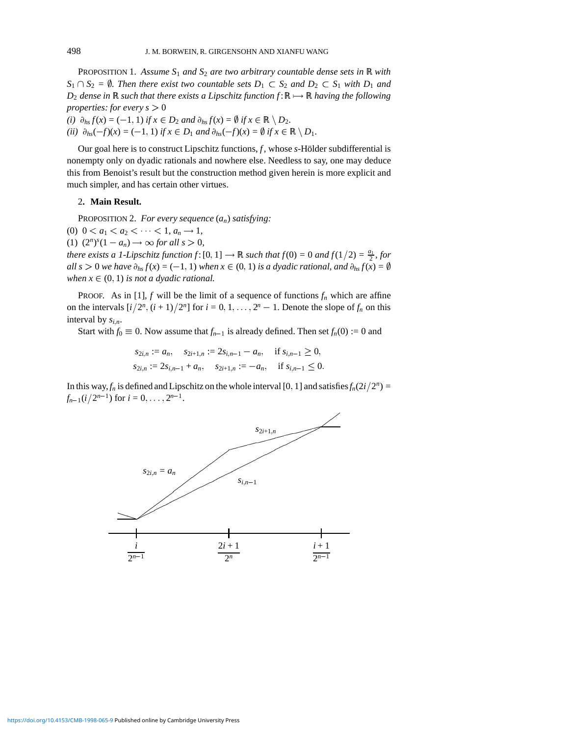PROPOSITION 1. *Assume S*<sup>1</sup> *and S*<sup>2</sup> *are two arbitrary countable dense sets in* R *with*  $S_1 \cap S_2 = \emptyset$ . Then there exist two countable sets  $D_1 \subset S_2$  and  $D_2 \subset S_1$  with  $D_1$  and *D*<sub>2</sub> *dense in*  $\mathbb R$  *such that there exists a Lipschitz function*  $f: \mathbb R \mapsto \mathbb R$  *having the following properties: for every s*  $> 0$ 

*(i)*  $\partial_{hs} f(x) = (-1, 1)$  *if*  $x \in D_2$  *and*  $\partial_{hs} f(x) = \emptyset$  *if*  $x \in \mathbb{R} \setminus D_2$ . *(ii)*  $\partial_{hs}(-f)(x) = (-1, 1)$  *if*  $x \in D_1$  *and*  $\partial_{hs}(-f)(x) = \emptyset$  *if*  $x \in \mathbb{R} \setminus D_1$ .

Our goal here is to construct Lipschitz functions,  $f$ , whose  $s$ -Hölder subdifferential is nonempty only on dyadic rationals and nowhere else. Needless to say, one may deduce this from Benoist's result but the construction method given herein is more explicit and much simpler, and has certain other virtues.

## 2**. Main Result.**

PROPOSITION 2. *For every sequence* (*an*) *satisfying:*

(0)  $0 < a_1 < a_2 < \cdots < 1, a_n \rightarrow 1$ ,

(1)  $(2^n)^s (1 - a_n) \to \infty$  for all  $s > 0$ ,

*there exists a 1-Lipschitz function*  $f: [0, 1] \rightarrow \mathbb{R}$  *such that*  $f(0) = 0$  *and*  $f(1/2) = \frac{a_1}{2}$ *, for all s* > 0 *we have*  $\partial_{hs} f(x) = (-1, 1)$  *when*  $x \in (0, 1)$  *is a dyadic rational, and*  $\partial_{hs} f(x) = \emptyset$ *when*  $x \in (0, 1)$  *is not a dyadic rational.* 

PROOF. As in [1],  $f$  will be the limit of a sequence of functions  $f_n$  which are affine on the intervals  $[i/2^n, (i+1)/2^n]$  for  $i = 0, 1, \ldots, 2^n - 1$ . Denote the slope of  $f_n$  on this interval by  $s_{i,n}$ .

Start with  $f_0 \equiv 0$ . Now assume that  $f_{n-1}$  is already defined. Then set  $f_n(0) := 0$  and

 $s_{2i,n} := a_n$ ,  $s_{2i+1,n} := 2s_{i,n-1} - a_n$ , if  $s_{i,n-1} \geq 0$ ,  $s_{2i,n} \coloneqq 2s_{i,n-1} + a_n, \quad s_{2i+1,n} \coloneqq -a_n, \quad \text{if } s_{i,n-1} \leq 0.$ 

In this way,  $f_n$  is defined and Lipschitz on the whole interval [0, 1] and satisfies  $f_n(2i/2^n)$  =  $f_{n-1}(i/2^{n-1})$  for  $i = 0, \ldots, 2^{n-1}$ .

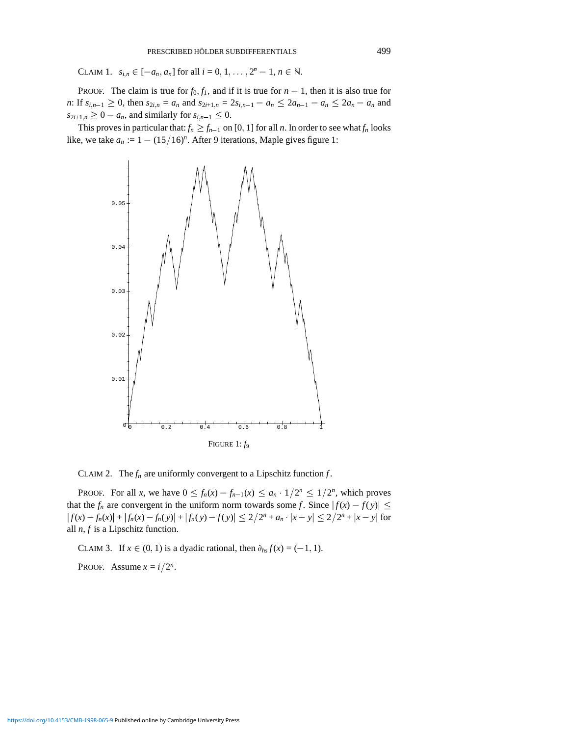CLAIM 1.  $s_{i,n} \in [-a_n, a_n]$  for all  $i = 0, 1, ..., 2^n - 1, n \in \mathbb{N}$ .

PROOF. The claim is true for  $f_0$ ,  $f_1$ , and if it is true for  $n-1$ , then it is also true for *n*: If  $s_{i,n-1} \geq 0$ , then  $s_{2i,n} = a_n$  and  $s_{2i+1,n} = 2s_{i,n-1} - a_n \leq 2a_{n-1} - a_n \leq 2a_n - a_n$  and  $s_{2i+1,n} \geq 0 - a_n$ , and similarly for  $s_{i,n-1} \leq 0$ .

This proves in particular that:  $f_n \ge f_{n-1}$  on [0, 1] for all *n*. In order to see what  $f_n$  looks like, we take  $a_n := 1 - (15/16)^n$ . After 9 iterations, Maple gives figure 1:



CLAIM 2. The  $f_n$  are uniformly convergent to a Lipschitz function  $f$ .

PROOF. For all *x*, we have  $0 \le f_n(x) - f_{n-1}(x) \le a_n \cdot 1/2^n \le 1/2^n$ , which proves that the  $f_n$  are convergent in the uniform norm towards some *f*. Since  $|f(x) - f(y)| \le$  $|f(x) - f_n(x)| + |f_n(x) - f_n(y)| + |f_n(y) - f(y)| \leq 2/2^n + a_n \cdot |x - y| \leq 2/2^n + |x - y|$  for all *n*, *f* is a Lipschitz function.

CLAIM 3. If  $x \in (0, 1)$  is a dyadic rational, then  $\partial_{hs} f(x) = (-1, 1)$ .

PROOF. Assume  $x = i/2^n$ .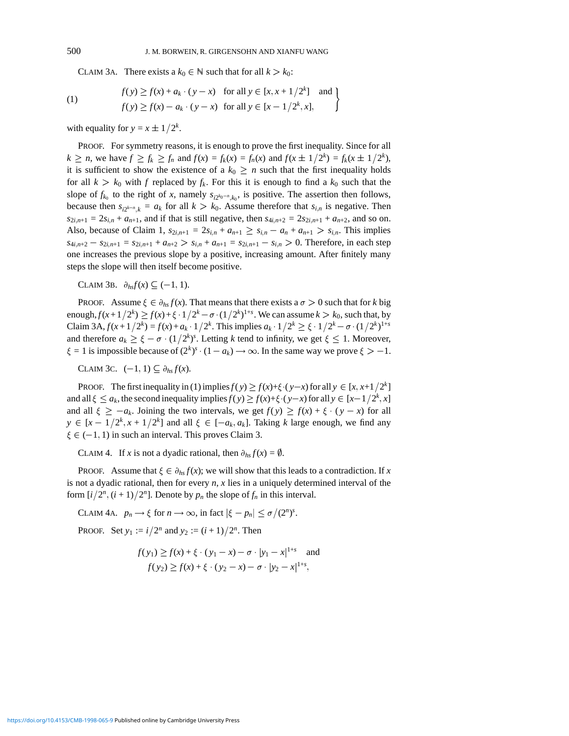CLAIM 3A. There exists a  $k_0 \in \mathbb{N}$  such that for all  $k > k_0$ :

(1) 
$$
f(y) \ge f(x) + a_k \cdot (y - x) \quad \text{for all } y \in [x, x + 1/2^k] \quad \text{and} \quad f(y) \ge f(x) - a_k \cdot (y - x) \quad \text{for all } y \in [x - 1/2^k, x],
$$

with equality for  $y = x \pm 1/2^k$ .

PROOF. For symmetry reasons, it is enough to prove the first inequality. Since for all  $k \ge n$ , we have  $f \ge f_k \ge f_n$  and  $f(x) = f_k(x) = f_n(x)$  and  $f(x \pm 1/2^k) = f_k(x \pm 1/2^k)$ , it is sufficient to show the existence of a  $k_0 \geq n$  such that the first inequality holds for all  $k > k_0$  with *f* replaced by  $f_k$ . For this it is enough to find a  $k_0$  such that the slope of  $f_{k_0}$  to the right of *x*, namely  $s_{i2^{k_0-n}, k_0}$ , is positive. The assertion then follows, both an  $k > k_0$  with *f* replaced by  $f_k$ . For this it is enough to find a  $k_0$  such that the slope of  $f_{k_0}$  to the right of *x*, namely  $s_{i2^{k_0-n},k_0}$ , is positive. The assertion then follows, because then  $s_{i2^{k-n$  $s_{2i,n+1} = 2s_{i,n} + a_{n+1}$ , and if that is still negative, then  $s_{4i,n+2} = 2s_{2i,n+1} + a_{n+2}$ , and so on. Also, because of Claim 1,  $s_{2i,n+1} = 2s_{i,n} + a_{n+1} \ge s_{i,n} - a_n + a_{n+1} > s_{i,n}$ . This implies  $s_{4i,n+2} - s_{2i,n+1} = s_{2i,n+1} + a_{n+2} > s_{i,n} + a_{n+1} = s_{2i,n+1} - s_{i,n} > 0$ . Therefore, in each step one increases the previous slope by a positive, increasing amount. After finitely many steps the slope will then itself become positive.

CLAIM 3B.  $\partial_{hs}f(x) \subseteq (-1, 1)$ .

PROOF. Assume  $\xi \in \partial_{hs} f(x)$ . That means that there exists a  $\sigma > 0$  such that for *k* big enough,  $f(x+1/2^k) \ge f(x)+\xi \cdot 1/2^k - \sigma \cdot (1/2^k)^{1+s}$ . We can assume  $k > k_0$ , such that, by Claim 3A,  $f(x+1/2^k) = f(x) + a_k \cdot 1/2^k$ . This implies  $a_k \cdot 1/2^k \ge \xi \cdot 1/2^k - \sigma \cdot (1/2^k)^{1+s}$ and therefore  $a_k \ge \xi - \sigma \cdot (1/2^k)^s$ . Letting *k* tend to infinity, we get  $\xi \le 1$ . Moreover,  $\xi = 1$  is impossible because of  $(2^k)^s \cdot (1 - a_k) \rightarrow \infty$ . In the same way we prove  $\xi > -1$ .

CLAIM 3C.  $(-1, 1) \subseteq \partial_{hs} f(x)$ .

PROOF. The first inequality in (1) implies  $f(y) \ge f(x)+\xi \cdot (y-x)$  for all  $y \in [x, x+1/2^k]$ and all  $\xi \le a_k$ , the second inequality implies  $f(y) \ge f(x)+\xi \cdot (y-x)$  for all  $y \in [x-1/2^k, x]$ and all  $\xi \geq -a_k$ . Joining the two intervals, we get  $f(y) \geq f(x) + \xi \cdot (y - x)$  for all  $y \in [x - 1/2^k, x + 1/2^k]$  and all  $\xi \in [-a_k, a_k]$ . Taking *k* large enough, we find any  $\xi \in (-1, 1)$  in such an interval. This proves Claim 3.

CLAIM 4. If *x* is not a dyadic rational, then  $\partial_{hs} f(x) = \emptyset$ .

PROOF. Assume that  $\xi \in \partial_{hs} f(x)$ ; we will show that this leads to a contradiction. If x is not a dyadic rational, then for every *n*, *x* lies in a uniquely determined interval of the form  $[i/2^n, (i + 1)/2^n]$ . Denote by  $p_n$  the slope of  $f_n$  in this interval.

CLAIM 4A.  $p_n \to \xi$  for  $n \to \infty$ , in fact  $|\xi - p_n| \le \sigma/(2^n)^s$ .

**PROOF.** Set  $y_1 := i/2^n$  and  $y_2 := (i+1)/2^n$ . Then

$$
f(y_1) \ge f(x) + \xi \cdot (y_1 - x) - \sigma \cdot |y_1 - x|^{1+s} \text{ and}
$$
  

$$
f(y_2) \ge f(x) + \xi \cdot (y_2 - x) - \sigma \cdot |y_2 - x|^{1+s},
$$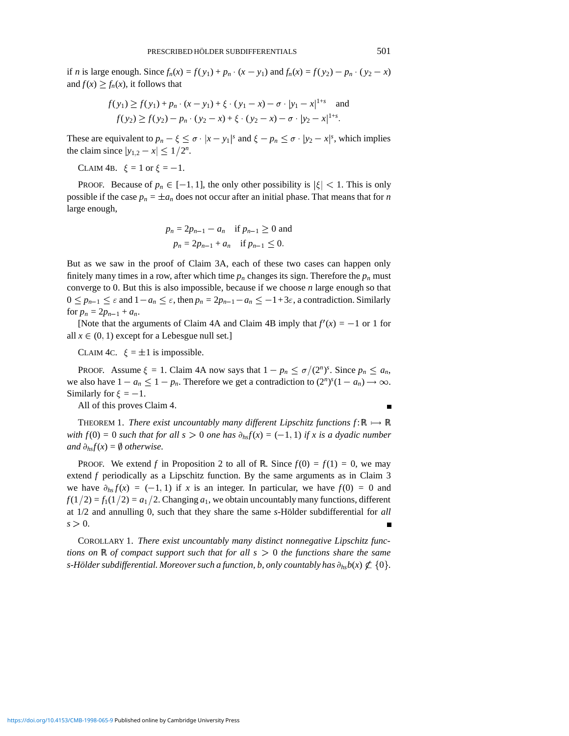if *n* is large enough. Since  $f_n(x) = f(y_1) + p_n \cdot (x - y_1)$  and  $f_n(x) = f(y_2) - p_n \cdot (y_2 - x)$ and  $f(x) \ge f_n(x)$ , it follows that

$$
f(y_1) \ge f(y_1) + p_n \cdot (x - y_1) + \xi \cdot (y_1 - x) - \sigma \cdot |y_1 - x|^{1+s} \text{ and}
$$
  

$$
f(y_2) \ge f(y_2) - p_n \cdot (y_2 - x) + \xi \cdot (y_2 - x) - \sigma \cdot |y_2 - x|^{1+s}.
$$

These are equivalent to  $p_n - \xi \le \sigma \cdot |x - y_1|^s$  and  $\xi - p_n \le \sigma \cdot |y_2 - x|^s$ , which implies the claim since  $|y_{1,2} - x| \leq 1/2^n$ .

CLAIM 4B.  $\xi = 1$  or  $\xi = -1$ .

PROOF. Because of  $p_n \in [-1, 1]$ , the only other possibility is  $|\xi| < 1$ . This is only possible if the case  $p_n = \pm a_n$  does not occur after an initial phase. That means that for *n* large enough,

$$
p_n = 2p_{n-1} - a_n
$$
 if  $p_{n-1} \ge 0$  and  
 $p_n = 2p_{n-1} + a_n$  if  $p_{n-1} \le 0$ .

But as we saw in the proof of Claim 3A, each of these two cases can happen only finitely many times in a row, after which time  $p_n$  changes its sign. Therefore the  $p_n$  must converge to 0. But this is also impossible, because if we choose *n* large enough so that  $0 \le p_{n-1} \le \varepsilon$  and  $1-a_n \le \varepsilon$ , then  $p_n = 2p_{n-1}-a_n \le -1+3\varepsilon$ , a contradiction. Similarly for  $p_n = 2p_{n-1} + a_n$ .

[Note that the arguments of Claim 4A and Claim 4B imply that  $f'(x) = -1$  or 1 for all  $x \in (0, 1)$  except for a Lebesgue null set.]

CLAIM 4C.  $\xi = \pm 1$  is impossible.

PROOF. Assume  $\xi = 1$ . Claim 4A now says that  $1 - p_n \le \sigma/(2^n)^s$ . Since  $p_n \le a_n$ , we also have  $1 - a_n \leq 1 - p_n$ . Therefore we get a contradiction to  $(2^n)^s (1 - a_n) \to \infty$ . Similarly for  $\xi = -1$ .

All of this proves Claim 4.

THEOREM 1. *There exist uncountably many different Lipschitz functions*  $f: \mathbb{R} \mapsto \mathbb{R}$ *with*  $f(0) = 0$  *such that for all s* > 0 *one has*  $\partial_{h} f(x) = (-1, 1)$  *if x is a dyadic number and*  $\partial_{hs}f(x) = \emptyset$  *otherwise.* 

PROOF. We extend *f* in Proposition 2 to all of R. Since  $f(0) = f(1) = 0$ , we may extend  $f$  periodically as a Lipschitz function. By the same arguments as in Claim  $3$ we have  $\partial_{hs} f(x) = (-1, 1)$  if *x* is an integer. In particular, we have  $f(0) = 0$  and  $f(1/2) = f_1(1/2) = a_1/2$ . Changing  $a_1$ , we obtain uncountably many functions, different at  $1/2$  and annulling 0, such that they share the same *s*-Hölder subdifferential for *all*  $s > 0$ .

COROLLARY 1. *There exist uncountably many distinct nonnegative Lipschitz functions on*  $\mathbb R$  *of compact support such that for all s*  $> 0$  *the functions share the same s*-Hölder subdifferential. Moreover such a function, b, only countably has  $\partial_{h} b(x) \not\subset \{0\}$ .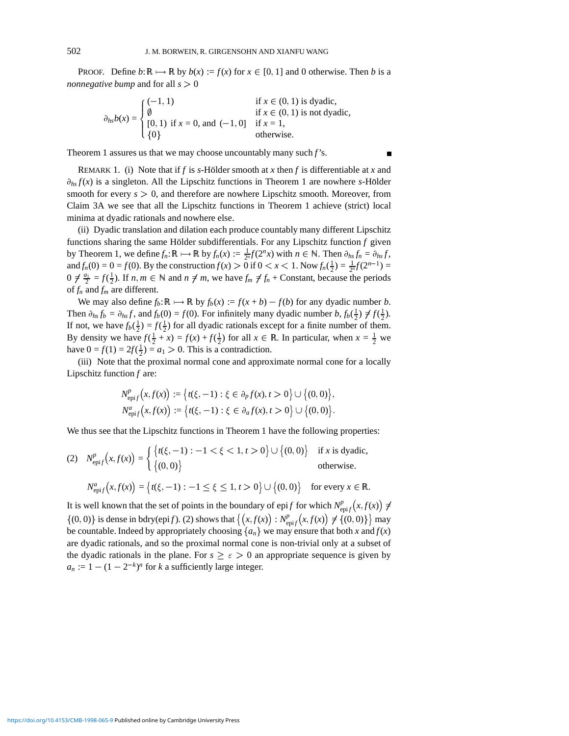PROOF. Define  $b: \mathbb{R} \mapsto \mathbb{R}$  by  $b(x) := f(x)$  for  $x \in [0, 1]$  and 0 otherwise. Then *b* is a *nonnegative bump* and for all  $s > 0$ 

$$
\partial_{hs}b(x) = \begin{cases}\n(-1, 1) & \text{if } x \in (0, 1) \text{ is dyadic,} \\
\emptyset & \text{if } x \in (0, 1) \text{ is not dyadic,} \\
[0, 1) & \text{if } x = 0 \text{, and } (-1, 0] & \text{if } x = 1, \\
\{0\}\n\end{cases}
$$

Theorem 1 assures us that we may choose uncountably many such *f*'s.

REMARK 1. (i) Note that if *f* is *s*-Hölder smooth at *x* then *f* is differentiable at *x* and  $\partial_{hs} f(x)$  is a singleton. All the Lipschitz functions in Theorem 1 are nowhere *s*-Hölder smooth for every  $s > 0$ , and therefore are nowhere Lipschitz smooth. Moreover, from Claim 3A we see that all the Lipschitz functions in Theorem 1 achieve (strict) local minima at dyadic rationals and nowhere else.

(ii) Dyadic translation and dilation each produce countably many different Lipschitz functions sharing the same Hölder subdifferentials. For any Lipschitz function  $f$  given by Theorem 1, we define  $f_n: \mathbb{R} \mapsto \mathbb{R}$  by  $f_n(x) := \frac{1}{2^n} f(2^n x)$  with  $n \in \mathbb{N}$ . Then  $\partial_{hs} f_n = \partial_{hs} f$ , and  $f_n(0) = 0 = f(0)$ . By the construction  $f(x) > 0$  if  $0 < x < 1$ . Now  $f_n(\frac{1}{2}) = \frac{1}{2^n} f(2^{n-1}) =$  $0 \neq \frac{a_1}{2} = f(\frac{1}{2})$ . If  $n, m \in \mathbb{N}$  and  $n \neq m$ , we have  $f_m \neq f_n$  + Constant, because the periods of *fn* and *fm* are different.

We may also define  $f_b: \mathbb{R} \mapsto \mathbb{R}$  by  $f_b(x) := f(x + b) - f(b)$  for any dyadic number *b*. Then  $\partial_{hs} f_b = \partial_{hs} f$ , and  $f_b(0) = f(0)$ . For infinitely many dyadic number  $b, f_b(\frac{1}{2}) \neq f(\frac{1}{2})$ . If not, we have  $f_b(\frac{1}{2}) = f(\frac{1}{2})$  for all dyadic rationals except for a finite number of them. By density we have  $f(\frac{1}{2} + x) = f(x) + f(\frac{1}{2})$  for all  $x \in \mathbb{R}$ . In particular, when  $x = \frac{1}{2}$  we have  $0 = f(1) = 2f(\frac{1}{2}) = a_1 > 0$ . This is a contradiction.

(iii) Note that the proximal normal cone and approximate normal cone for a locally Lipschitz function *f* are:

$$
N_{\text{epi}f}^{p}(x,f(x)) := \{t(\xi,-1) : \xi \in \partial_{p}f(x), t > 0\} \cup \{(0,0)\},
$$
  

$$
N_{\text{epi}f}^{a}(x,f(x)) := \{t(\xi,-1) : \xi \in \partial_{a}f(x), t > 0\} \cup \{(0,0)\}.
$$

We thus see that the Lipschitz functions in Theorem 1 have the following properties:

(2) 
$$
N_{\text{epi}f}^{p}(x, f(x)) = \begin{cases} \{t(\xi, -1) : -1 < \xi < 1, t > 0\} \cup \{(0, 0)\} & \text{if } x \text{ is dyadic,} \\ \{(0, 0)\} & \text{otherwise.} \end{cases}
$$

$$
N_{\text{epi}f}^{a}(x,f(x)) = \left\{ t(\xi,-1) : -1 \leq \xi \leq 1, t > 0 \right\} \cup \left\{ (0,0) \right\} \text{ for every } x \in \mathbb{R}.
$$

It is well known that the set of points in the boundary of epi*f* for which  $N_{\text{epi} f}^p(x, f(x)) \neq$  $\{(0,0)\}\$ is dense in bdry(epi*f*). (2) shows that  $\{(x,f(x)):N_{\text{epi}f}^p(x,f(x))\neq \{(0,0)\}\}\$ may be countable. Indeed by appropriately choosing  $\{a_n\}$  we may ensure that both *x* and  $f(x)$ are dyadic rationals, and so the proximal normal cone is non-trivial only at a subset of the dyadic rationals in the plane. For  $s \geq \epsilon > 0$  an appropriate sequence is given by  $a_n := 1 - (1 - 2^{-k})^n$  for *k* a sufficiently large integer.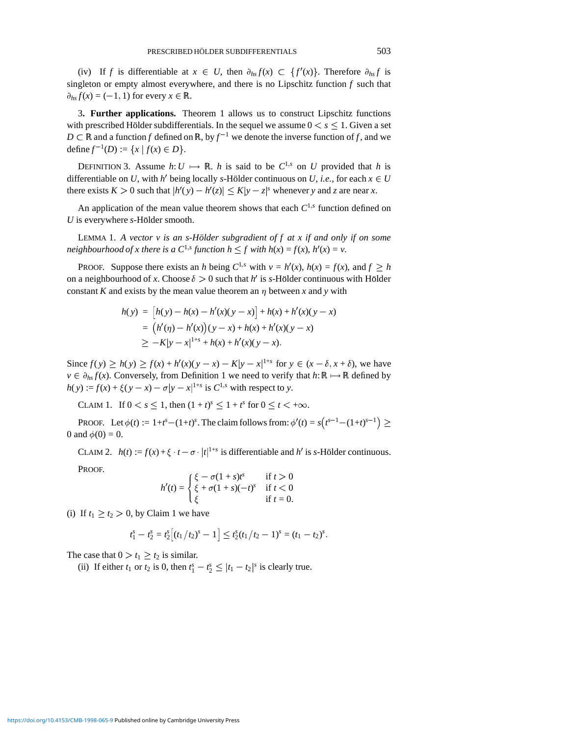(iv) If *f* is differentiable at  $x \in U$ , then  $\partial_{hs} f(x) \subset \{f'(x)\}\)$ . Therefore  $\partial_{hs} f$  is singleton or empty almost everywhere, and there is no Lipschitz function *f* such that  $\partial_{hs} f(x) = (-1, 1)$  for every  $x \in \mathbb{R}$ .

3**. Further applications.** Theorem 1 allows us to construct Lipschitz functions with prescribed Hölder subdifferentials. In the sequel we assume  $0 < s \leq 1$ . Given a set  $D \subset \mathbb{R}$  and a function *f* defined on  $\mathbb{R}$ , by  $f^{-1}$  we denote the inverse function of *f*, and we define  $f^{-1}(D) := \{x \mid f(x) \in D\}.$ 

DEFINITION 3. Assume  $h: U \mapsto \mathbb{R}$ . *h* is said to be  $C^{1,s}$  on *U* provided that *h* is differentiable on *U*, with *h'* being locally *s*-Hölder continuous on *U*, *i.e.*, for each  $x \in U$ there exists  $K > 0$  such that  $|h'(y) - h'(z)| \le K|y - z|^s$  whenever *y* and *z* are near *x*.

An application of the mean value theorem shows that each  $C^{1,s}$  function defined on *U* is everywhere *s*-Hölder smooth.

LEMMA 1. *A vector v is an s-Hölder subgradient of f at x if and only if on some neighbourhood of x there is a*  $C^{1,s}$  *function*  $h \leq f$  *with*  $h(x) = f(x)$ *,*  $h'(x) = v$ *.* 

PROOF. Suppose there exists an *h* being  $C^{1,s}$  with  $v = h'(x)$ ,  $h(x) = f(x)$ , and  $f \geq h$ on a neighbourhood of *x*. Choose  $\delta > 0$  such that *h'* is *s*-Hölder continuous with Hölder constant *K* and exists by the mean value theorem an  $\eta$  between *x* and *y* with

$$
h(y) = [h(y) - h(x) - h'(x)(y - x)] + h(x) + h'(x)(y - x)
$$
  
=  $(h'(\eta) - h'(x))(y - x) + h(x) + h'(x)(y - x)$   
 $\ge -K|y - x|^{1+s} + h(x) + h'(x)(y - x).$ 

Since  $f(y) \ge h(y) \ge f(x) + h'(x)(y - x) - K|y - x|^{1+s}$  for  $y \in (x - \delta, x + \delta)$ , we have  $v \in \partial_{hs} f(x)$ . Conversely, from Definition 1 we need to verify that  $h: \mathbb{R} \mapsto \mathbb{R}$  defined by  $h(y) := f(x) + \xi(y - x) - \sigma |y - x|^{1+s}$  is  $C^{1,s}$  with respect to *y*.

CLAIM 1. If  $0 < s \le 1$ , then  $(1 + t)^s \le 1 + t^s$  for  $0 \le t < +\infty$ .

PROOF. Let  $\phi(t) := 1 + t^s - (1 + t)^s$ . The claim follows from:  $\phi'(t) = s(t^{s-1} - (1 + t)^{s-1}) \ge$ 0 and  $\phi(0) = 0$ .

CLAIM 2.  $h(t) := f(x) + \xi \cdot t - \sigma \cdot |t|^{1+s}$  is differentiable and *h'* is *s*-Hölder continuous.

PROOF.

$$
h'(t) = \begin{cases} \xi - \sigma(1+s)t^s & \text{if } t > 0\\ \xi + \sigma(1+s)(-t)^s & \text{if } t < 0\\ \xi & \text{if } t = 0. \end{cases}
$$

(i) If  $t_1 \ge t_2 > 0$ , by Claim 1 we have

$$
t_1^s - t_2^s = t_2^s \big[ (t_1/t_2)^s - 1 \big] \leq t_2^s (t_1/t_2 - 1)^s = (t_1 - t_2)^s.
$$

The case that  $0 > t_1 \ge t_2$  is similar.

(ii) If either  $t_1$  or  $t_2$  is 0, then  $t_1^s - t_2^s \le |t_1 - t_2|^s$  is clearly true.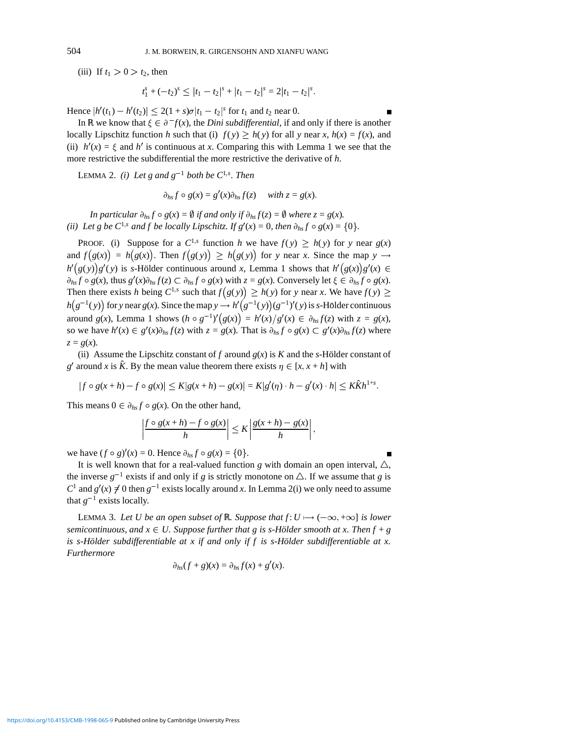(iii) If  $t_1 > 0 > t_2$ , then

$$
t_1^s + (-t_2)^s \le |t_1 - t_2|^s + |t_1 - t_2|^s = 2|t_1 - t_2|^s.
$$

Hence  $|h'(t_1) - h'(t_2)| \leq 2(1 + s)\sigma |t_1 - t_2|^{s}$  for  $t_1$  and  $t_2$  near 0.

In R we know that  $\xi \in \partial^- f(x)$ , the *Dini subdifferential*, if and only if there is another locally Lipschitz function *h* such that (i)  $f(y) \ge h(y)$  for all *y* near *x*,  $h(x) = f(x)$ , and (ii)  $h'(x) = \xi$  and  $h'$  is continuous at *x*. Comparing this with Lemma 1 we see that the more restrictive the subdifferential the more restrictive the derivative of *h*.

LEMMA 2. *(i)* Let g and  $g^{-1}$  both be  $C^{1,s}$ . Then

$$
\partial_{hs} f \circ g(x) = g'(x) \partial_{hs} f(z) \quad \text{ with } z = g(x).
$$

*In particular*  $\partial_{hs} f \circ g(x) = \emptyset$  *if and only if*  $\partial_{hs} f(z) = \emptyset$  *where*  $z = g(x)$ *. (ii)* Let g be  $C^{1,s}$  and f be locally Lipschitz. If  $g'(x) = 0$ , then  $\partial_{hs} f \circ g(x) = \{0\}$ .

**PROOF.** (i) Suppose for a  $C^{1,s}$  function *h* we have  $f(y) \ge h(y)$  for *y* near  $g(x)$ and  $f(g(x)) = h(g(x))$ . Then  $f(g(y)) \ge h(g(y))$  for *y* near *x*. Since the map *y*  $\rightarrow$  $h'(g(y))g'(y)$  is *s*-Hölder continuous around *x*, Lemma 1 shows that  $h'(g(x))g'(x) \in$  $\partial_{hs} f \circ g(x)$ , thus  $g'(x)\partial_{hs} f(z) \subset \partial_{hs} f \circ g(x)$  with  $z = g(x)$ . Conversely let  $\xi \in \partial_{hs} f \circ g(x)$ . Then there exists *h* being  $C^{1,s}$  such that  $f(g(y)) \ge h(y)$  for *y* near *x*. We have  $f(y) \ge h(y)$  $h(g^{-1}(y))$  for *y* near  $g(x)$ . Since the map  $y \to h'(g^{-1}(y))(g^{-1})'(y)$  is *s*-Hölder continuous around  $g(x)$ , Lemma 1 shows  $(h \circ g^{-1})'(g(x)) = h'(x)/g'(x) \in \partial_{hs}f(z)$  with  $z = g(x)$ , so we have  $h'(x) \in g'(x)\partial_{hx}f(z)$  with  $z = g(x)$ . That is  $\partial_{hs}f \circ g(x) \subset g'(x)\partial_{hs}f(z)$  where  $z = g(x)$ .

(ii) Assume the Lipschitz constant of *f* around  $g(x)$  is *K* and the *s*-Hölder constant of *g*<sup> $\prime$ </sup> around *x* is  $\hat{K}$ . By the mean value theorem there exists  $\eta \in [x, x + h]$  with

$$
|f \circ g(x+h) - f \circ g(x)| \le K|g(x+h) - g(x)| = K|g'(\eta) \cdot h - g'(x) \cdot h| \le K\hat{K}h^{1+s}.
$$

This means  $0 \in \partial_{hs} f \circ g(x)$ . On the other hand,

$$
\left|\frac{f\circ g(x+h)-f\circ g(x)}{h}\right|\leq K\left|\frac{g(x+h)-g(x)}{h}\right|,
$$

we have  $(f \circ g)'(x) = 0$ . Hence  $\partial_{hs} f \circ g(x) = \{0\}.$ 

It is well known that for a real-valued function *g* with domain an open interval,  $\triangle$ , the inverse  $g^{-1}$  exists if and only if *g* is strictly monotone on  $\triangle$ . If we assume that *g* is  $C<sup>1</sup>$  and  $g'(x) \neq 0$  then  $g<sup>-1</sup>$  exists locally around *x*. In Lemma 2(i) we only need to assume that  $g^{-1}$  exists locally.

LEMMA 3. Let U be an open subset of R. Suppose that  $f: U \mapsto (-\infty, +\infty]$  is lower *semicontinuous, and*  $x \in U$ *. Suppose further that g is s-Hölder smooth at x. Then*  $f + g$ *is s-Hölder subdifferentiable at x if and only if f is s-Hölder subdifferentiable at x. Furthermore*

$$
\partial_{hs}(f+g)(x)=\partial_{hs}f(x)+g'(x).
$$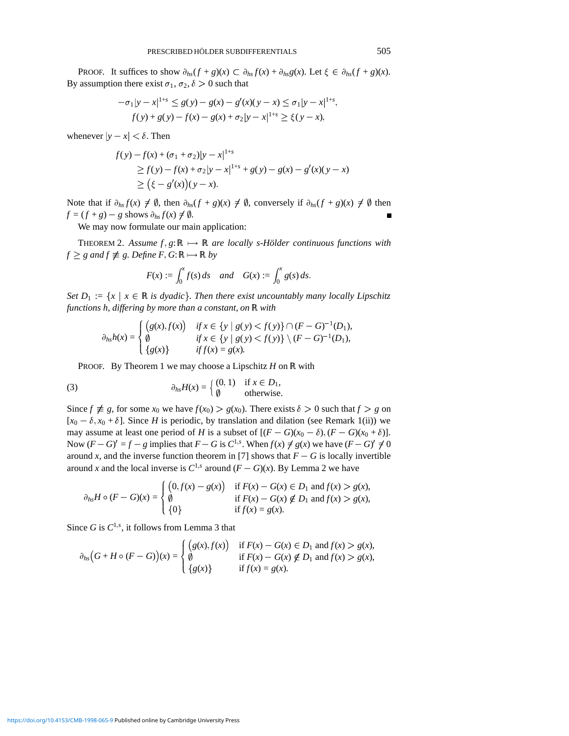PROOF. It suffices to show  $\partial_{hs}(f+g)(x) \subset \partial_{hs}f(x) + \partial_{hs}g(x)$ . Let  $\xi \in \partial_{hs}(f+g)(x)$ . By assumption there exist  $\sigma_1$ ,  $\sigma_2$ ,  $\delta > 0$  such that

$$
-\sigma_1|y-x|^{1+s} \le g(y) - g(x) - g'(x)(y-x) \le \sigma_1|y-x|^{1+s},
$$
  

$$
f(y) + g(y) - f(x) - g(x) + \sigma_2|y-x|^{1+s} \ge \xi(y-x),
$$

whenever  $|y - x| < \delta$ . Then

$$
f(y) - f(x) + (\sigma_1 + \sigma_2)|y - x|^{1+s}
$$
  
\n
$$
\geq f(y) - f(x) + \sigma_2|y - x|^{1+s} + g(y) - g(x) - g'(x)(y - x)
$$
  
\n
$$
\geq (\xi - g'(x))(y - x).
$$

Note that if  $\partial_{hs} f(x) \neq \emptyset$ , then  $\partial_{hs}(f+g)(x) \neq \emptyset$ , conversely if  $\partial_{hs}(f+g)(x) \neq \emptyset$  then  $f = (f + g) - g$  shows  $\partial_{hs} f(x) \neq \emptyset$ .

We may now formulate our main application:

THEOREM 2. Assume  $f, g: \mathbb{R} \mapsto \mathbb{R}$  *are locally s-Holder continuous functions with*  $f \geq g$  and  $f \not\equiv g$ . Define  $F$ ,  $G: \mathbb{R} \mapsto \mathbb{R}$  by

$$
F(x) := \int_0^x f(s) \, ds \quad \text{and} \quad G(x) := \int_0^x g(s) \, ds.
$$

*Set D*<sub>1</sub> :=  $\{x \mid x \in \mathbb{R} \text{ is dyadic}\}\$ . Then there exist uncountably many locally Lipschitz *functions h, differing by more than a constant, on* R *with*

$$
\partial_{hs}h(x) = \begin{cases} (g(x), f(x)) & \text{if } x \in \{y \mid g(y) < f(y) \} \cap (F - G)^{-1}(D_1), \\ \emptyset & \text{if } x \in \{y \mid g(y) < f(y) \} \setminus (F - G)^{-1}(D_1), \\ \{g(x)\} & \text{if } f(x) = g(x). \end{cases}
$$

PROOF. By Theorem 1 we may choose a Lipschitz  $H$  on  $\mathbb R$  with

(3) 
$$
\partial_{hs}H(x) = \begin{cases} (0,1) & \text{if } x \in D_1, \\ \emptyset & \text{otherwise.} \end{cases}
$$

Since  $f \not\equiv g$ , for some  $x_0$  we have  $f(x_0) > g(x_0)$ . There exists  $\delta > 0$  such that  $f > g$  on  $[x_0 - \delta, x_0 + \delta]$ . Since *H* is periodic, by translation and dilation (see Remark 1(ii)) we may assume at least one period of *H* is a subset of  $[(F - G)(x_0 - \delta), (F - G)(x_0 + \delta)].$ Now  $(F - G)' = f - g$  implies that  $F - G$  is  $C^{1,s}$ . When  $f(x) \neq g(x)$  we have  $(F - G)' \neq 0$ around *x*, and the inverse function theorem in [7] shows that  $F - G$  is locally invertible around *x* and the local inverse is  $C^{1,s}$  around  $(F - G)(x)$ . By Lemma 2 we have

$$
\partial_{hs}H \circ (F - G)(x) = \begin{cases} (0, f(x) - g(x)) & \text{if } F(x) - G(x) \in D_1 \text{ and } f(x) > g(x), \\ \emptyset & \text{if } F(x) - G(x) \notin D_1 \text{ and } f(x) > g(x), \\ \{0\} & \text{if } f(x) = g(x). \end{cases}
$$

Since *G* is  $C^{1,s}$ , it follows from Lemma 3 that

$$
\partial_{hs}(G + H \circ (F - G))(x) = \begin{cases} (g(x), f(x)) & \text{if } F(x) - G(x) \in D_1 \text{ and } f(x) > g(x), \\ \emptyset & \text{if } F(x) - G(x) \notin D_1 \text{ and } f(x) > g(x), \\ \{g(x)\} & \text{if } f(x) = g(x). \end{cases}
$$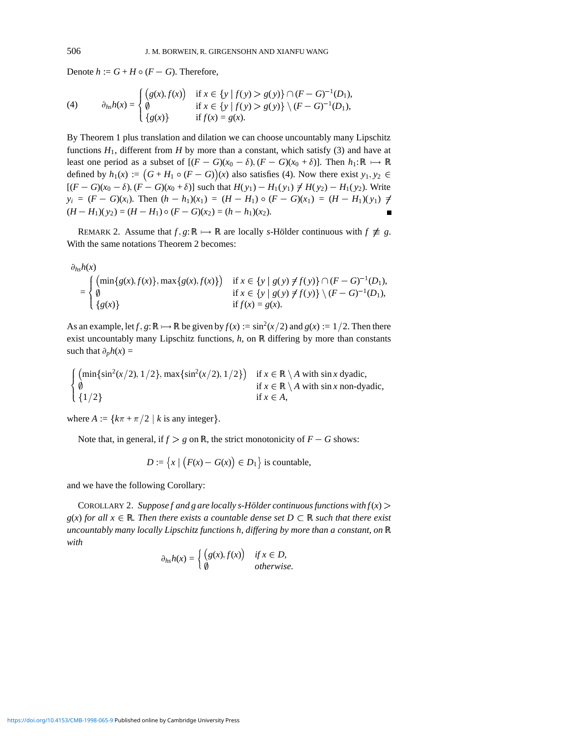Denote  $h := G + H \circ (F - G)$ . Therefore,

(4) 
$$
\partial_{hs}h(x) = \begin{cases} (g(x), f(x)) & \text{if } x \in \{y \mid f(y) > g(y)\} \cap (F - G)^{-1}(D_1), \\ \emptyset & \text{if } x \in \{y \mid f(y) > g(y)\} \setminus (F - G)^{-1}(D_1), \\ \{g(x)\} & \text{if } f(x) = g(x). \end{cases}
$$

By Theorem 1 plus translation and dilation we can choose uncountably many Lipschitz functions  $H_1$ , different from  $H$  by more than a constant, which satisfy (3) and have at least one period as a subset of  $[(F - G)(x_0 - \delta), (F - G)(x_0 + \delta)]$ . Then  $h_1: \mathbb{R} \mapsto \mathbb{R}$ defined by  $h_1(x) := (G + H_1 \circ (F - G))(x)$  also satisfies (4). Now there exist  $y_1, y_2 \in$  $[(F - G)(x_0 - \delta), (F - G)(x_0 + \delta)]$  such that  $H(y_1) - H_1(y_1) \neq H(y_2) - H_1(y_2)$ . Write  $y_i = (F - G)(x_i)$ . Then  $(h - h_1)(x_1) = (H - H_1) \circ (F - G)(x_1) = (H - H_1)(y_1) \neq$  $(H - H_1)(y_2) = (H - H_1) \circ (F - G)(x_2) = (h - h_1)(x_2).$  $\blacksquare$ 

REMARK 2. Assume that  $f$ ,  $g: \mathbb{R} \mapsto \mathbb{R}$  are locally *s*-Hölder continuous with  $f \not\equiv g$ . With the same notations Theorem 2 becomes:

$$
\partial_{hs}h(x) = \begin{cases}\n(\min\{g(x), f(x)\}, \max\{g(x), f(x)\}) & \text{if } x \in \{y \mid g(y) \neq f(y)\} \cap (F - G)^{-1}(D_1), \\
\emptyset & \text{if } x \in \{y \mid g(y) \neq f(y)\} \setminus (F - G)^{-1}(D_1), \\
\{g(x)\} & \text{if } f(x) = g(x).\n\end{cases}
$$

As an example, let *f*,  $g: \mathbb{R} \mapsto \mathbb{R}$  be given by  $f(x) := \sin^2(x/2)$  and  $g(x) := 1/2$ . Then there exist uncountably many Lipschitz functions,  $h$ , on  $\mathbb R$  differing by more than constants such that  $\partial_p h(x) =$ 

$$
\begin{cases}\n(\min\{\sin^2(x/2), 1/2\}, \max\{\sin^2(x/2), 1/2\}) & \text{if } x \in \mathbb{R} \setminus A \text{ with } \sin x \text{ dyadic}, \\
\emptyset & \text{if } x \in \mathbb{R} \setminus A \text{ with } \sin x \text{ non-dyadic}, \\
\{1/2\} & \text{if } x \in A,\n\end{cases}
$$

where  $A := \{k\pi + \pi/2 \mid k \text{ is any integer}\}.$ 

Note that, in general, if  $f > g$  on R, the strict monotonicity of  $F - G$  shows:

$$
D := \{x \mid (F(x) - G(x)) \in D_1\}
$$
 is countable,

and we have the following Corollary:

COROLLARY 2. *Suppose f and g are locally s-Hölder continuous functions with*  $f(x)$  *>*  $g(x)$  *for all*  $x \in \mathbb{R}$ *. Then there exists a countable dense set*  $D \subset \mathbb{R}$  *such that there exist uncountably many locally Lipschitz functions h, differing by more than a constant, on* R *with*

$$
\partial_{hs}h(x) = \begin{cases} (g(x), f(x)) & \text{if } x \in D, \\ \emptyset & \text{otherwise.} \end{cases}
$$